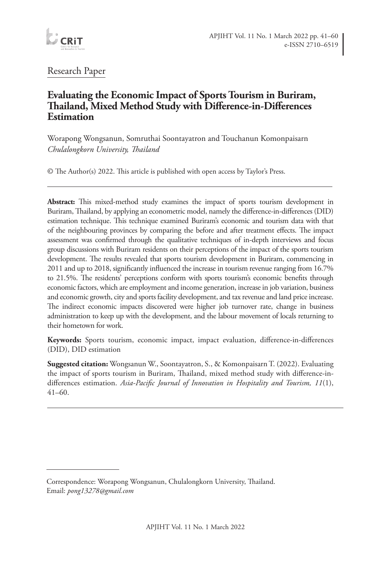

# Research Paper

## **Evaluating the Economic Impact of Sports Tourism in Buriram, Thailand, Mixed Method Study with Difference-in-Differences Estimation**

Worapong Wongsanun, Somruthai Soontayatron and Touchanun Komonpaisarn *Chulalongkorn University, Thailand*

© The Author(s) 2022. This article is published with open access by Taylor's Press.

**Abstract:** This mixed-method study examines the impact of sports tourism development in Buriram, Thailand, by applying an econometric model, namely the difference-in-differences (DID) estimation technique. This technique examined Buriram's economic and tourism data with that of the neighbouring provinces by comparing the before and after treatment effects. The impact assessment was confirmed through the qualitative techniques of in-depth interviews and focus group discussions with Buriram residents on their perceptions of the impact of the sports tourism development. The results revealed that sports tourism development in Buriram, commencing in 2011 and up to 2018, significantly influenced the increase in tourism revenue ranging from 16.7% to 21.5%. The residents' perceptions conform with sports tourism's economic benefits through economic factors, which are employment and income generation, increase in job variation, business and economic growth, city and sports facility development, and tax revenue and land price increase. The indirect economic impacts discovered were higher job turnover rate, change in business administration to keep up with the development, and the labour movement of locals returning to their hometown for work.

**Keywords:** Sports tourism, economic impact, impact evaluation, difference-in-differences (DID), DID estimation

**Suggested citation:** Wongsanun W., Soontayatron, S., & Komonpaisarn T. (2022). Evaluating the impact of sports tourism in Buriram, Thailand, mixed method study with difference-indifferences estimation. *Asia-Pacific Journal of Innovation in Hospitality and Tourism, 11*(1),  $41-60.$ 

Correspondence: Worapong Wongsanun, Chulalongkorn University, Thailand. Email: *pong13278@gmail.com*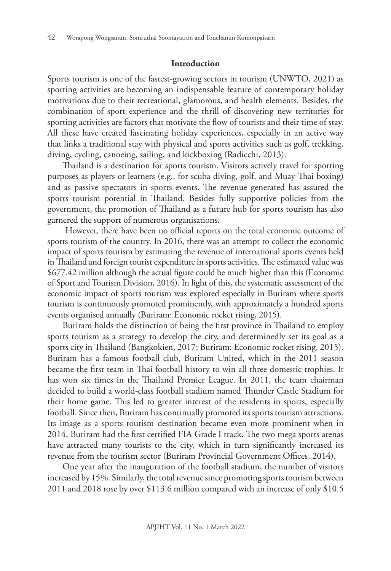#### **Introduction**

Sports tourism is one of the fastest-growing sectors in tourism (UNWTO, 2021) as sporting activities are becoming an indispensable feature of contemporary holiday motivations due to their recreational, glamorous, and health elements. Besides, the combination of sport experience and the thrill of discovering new territories for sporting activities are factors that motivate the flow of tourists and their time of stay. All these have created fascinating holiday experiences, especially in an active way that links a traditional stay with physical and sports activities such as golf, trekking, diving, cycling, canoeing, sailing, and kickboxing (Radicchi, 2013).

Thailand is a destination for sports tourism. Visitors actively travel for sporting purposes as players or learners (e.g., for scuba diving, golf, and Muay Thai boxing) and as passive spectators in sports events. The revenue generated has assured the sports tourism potential in Thailand. Besides fully supportive policies from the government, the promotion of Thailand as a future hub for sports tourism has also garnered the support of numerous organisations.

However, there have been no official reports on the total economic outcome of sports tourism of the country. In 2016, there was an attempt to collect the economic impact of sports tourism by estimating the revenue of international sports events held in Thailand and foreign tourist expenditure in sports activities. The estimated value was \$677.42 million although the actual figure could be much higher than this (Economic of Sport and Tourism Division, 2016). In light of this, the systematic assessment of the economic impact of sports tourism was explored especially in Buriram where sports tourism is continuously promoted prominently, with approximately a hundred sports events organised annually (Buriram: Economic rocket rising, 2015).

Buriram holds the distinction of being the first province in Thailand to employ sports tourism as a strategy to develop the city, and determinedly set its goal as a sports city in Thailand (Bangkokien, 2017; Buriram: Economic rocket rising, 2015). Buriram has a famous football club, Buriram United, which in the 2011 season became the first team in Thai football history to win all three domestic trophies. It has won six times in the Thailand Premier League. In 2011, the team chairman decided to build a world-class football stadium named Thunder Castle Stadium for their home game. This led to greater interest of the residents in sports, especially football. Since then, Buriram has continually promoted its sports tourism attractions. Its image as a sports tourism destination became even more prominent when in 2014, Buriram had the first certified FIA Grade I track. The two mega sports arenas have attracted many tourists to the city, which in turn significantly increased its revenue from the tourism sector (Buriram Provincial Government Offices, 2014).

One year after the inauguration of the football stadium, the number of visitors increased by 15%. Similarly, the total revenue since promoting sports tourism between 2011 and 2018 rose by over \$113.6 million compared with an increase of only \$10.5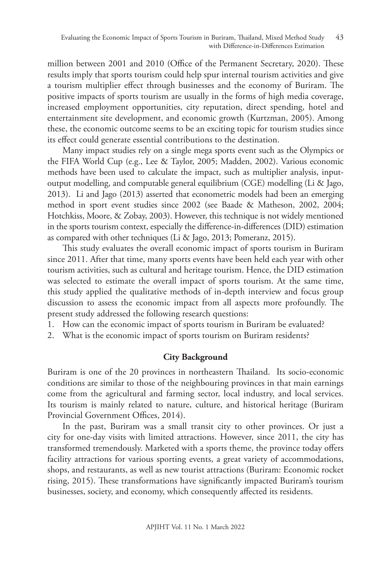million between 2001 and 2010 (Office of the Permanent Secretary, 2020). These results imply that sports tourism could help spur internal tourism activities and give a tourism multiplier effect through businesses and the economy of Buriram. The positive impacts of sports tourism are usually in the forms of high media coverage, increased employment opportunities, city reputation, direct spending, hotel and entertainment site development, and economic growth (Kurtzman, 2005). Among these, the economic outcome seems to be an exciting topic for tourism studies since its effect could generate essential contributions to the destination.

Many impact studies rely on a single mega sports event such as the Olympics or the FIFA World Cup (e.g., Lee & Taylor, 2005; Madden, 2002). Various economic methods have been used to calculate the impact, such as multiplier analysis, inputoutput modelling, and computable general equilibrium (CGE) modelling (Li & Jago, 2013). Li and Jago (2013) asserted that econometric models had been an emerging method in sport event studies since 2002 (see Baade & Matheson, 2002, 2004; Hotchkiss, Moore, & Zobay, 2003). However, this technique is not widely mentioned in the sports tourism context, especially the difference-in-differences (DID) estimation as compared with other techniques (Li & Jago, 2013; Pomeranz, 2015).

This study evaluates the overall economic impact of sports tourism in Buriram since 2011. After that time, many sports events have been held each year with other tourism activities, such as cultural and heritage tourism. Hence, the DID estimation was selected to estimate the overall impact of sports tourism. At the same time, this study applied the qualitative methods of in-depth interview and focus group discussion to assess the economic impact from all aspects more profoundly. The present study addressed the following research questions:

1. How can the economic impact of sports tourism in Buriram be evaluated?

2. What is the economic impact of sports tourism on Buriram residents?

### **City Background**

Buriram is one of the 20 provinces in northeastern Thailand. Its socio-economic conditions are similar to those of the neighbouring provinces in that main earnings come from the agricultural and farming sector, local industry, and local services. Its tourism is mainly related to nature, culture, and historical heritage (Buriram Provincial Government Offices, 2014).

In the past, Buriram was a small transit city to other provinces. Or just a city for one-day visits with limited attractions. However, since 2011, the city has transformed tremendously. Marketed with a sports theme, the province today offers facility attractions for various sporting events, a great variety of accommodations, shops, and restaurants, as well as new tourist attractions (Buriram: Economic rocket rising, 2015). These transformations have significantly impacted Buriram's tourism businesses, society, and economy, which consequently affected its residents.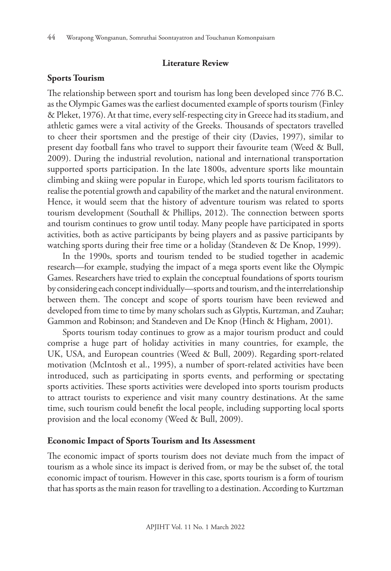#### **Literature Review**

### **Sports Tourism**

The relationship between sport and tourism has long been developed since 776 B.C. as the Olympic Games was the earliest documented example of sports tourism (Finley & Pleket, 1976). At that time, every self-respecting city in Greece had its stadium, and athletic games were a vital activity of the Greeks. Thousands of spectators travelled to cheer their sportsmen and the prestige of their city (Davies, 1997), similar to present day football fans who travel to support their favourite team (Weed & Bull, 2009). During the industrial revolution, national and international transportation supported sports participation. In the late 1800s, adventure sports like mountain climbing and skiing were popular in Europe, which led sports tourism facilitators to realise the potential growth and capability of the market and the natural environment. Hence, it would seem that the history of adventure tourism was related to sports tourism development (Southall & Phillips, 2012). The connection between sports and tourism continues to grow until today. Many people have participated in sports activities, both as active participants by being players and as passive participants by watching sports during their free time or a holiday (Standeven & De Knop, 1999).

In the 1990s, sports and tourism tended to be studied together in academic research—for example, studying the impact of a mega sports event like the Olympic Games. Researchers have tried to explain the conceptual foundations of sports tourism by considering each concept individually—sports and tourism, and the interrelationship between them. The concept and scope of sports tourism have been reviewed and developed from time to time by many scholars such as Glyptis, Kurtzman, and Zauhar; Gammon and Robinson; and Standeven and De Knop (Hinch & Higham, 2001).

Sports tourism today continues to grow as a major tourism product and could comprise a huge part of holiday activities in many countries, for example, the UK, USA, and European countries (Weed & Bull, 2009). Regarding sport-related motivation (McIntosh et al., 1995), a number of sport-related activities have been introduced, such as participating in sports events, and performing or spectating sports activities. These sports activities were developed into sports tourism products to attract tourists to experience and visit many country destinations. At the same time, such tourism could benefit the local people, including supporting local sports provision and the local economy (Weed & Bull, 2009).

#### **Economic Impact of Sports Tourism and Its Assessment**

The economic impact of sports tourism does not deviate much from the impact of tourism as a whole since its impact is derived from, or may be the subset of, the total economic impact of tourism. However in this case, sports tourism is a form of tourism that has sports as the main reason for travelling to a destination. According to Kurtzman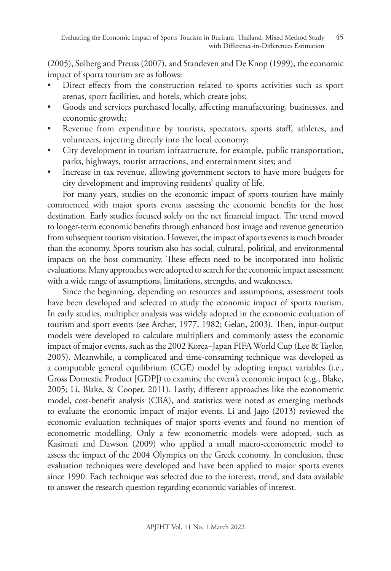(2005), Solberg and Preuss (2007), and Standeven and De Knop (1999), the economic impact of sports tourism are as follows:

- Direct effects from the construction related to sports activities such as sport arenas, sport facilities, and hotels, which create jobs;
- Goods and services purchased locally, affecting manufacturing, businesses, and economic growth;
- Revenue from expenditure by tourists, spectators, sports staff, athletes, and volunteers, injecting directly into the local economy;
- City development in tourism infrastructure, for example, public transportation, parks, highways, tourist attractions, and entertainment sites; and
- Increase in tax revenue, allowing government sectors to have more budgets for city development and improving residents' quality of life.

For many years, studies on the economic impact of sports tourism have mainly commenced with major sports events assessing the economic benefits for the host destination. Early studies focused solely on the net financial impact. The trend moved to longer-term economic benefits through enhanced host image and revenue generation from subsequent tourism visitation. However, the impact of sports events is much broader than the economy. Sports tourism also has social, cultural, political, and environmental impacts on the host community. These effects need to be incorporated into holistic evaluations. Many approaches were adopted to search for the economic impact assessment with a wide range of assumptions, limitations, strengths, and weaknesses.

Since the beginning, depending on resources and assumptions, assessment tools have been developed and selected to study the economic impact of sports tourism. In early studies, multiplier analysis was widely adopted in the economic evaluation of tourism and sport events (see Archer, 1977, 1982; Gelan, 2003). Then, input-output models were developed to calculate multipliers and commonly assess the economic impact of major events, such as the 2002 Korea–Japan FIFA World Cup (Lee & Taylor, 2005). Meanwhile, a complicated and time-consuming technique was developed as a computable general equilibrium (CGE) model by adopting impact variables (i.e., Gross Domestic Product [GDP]) to examine the event's economic impact (e.g., Blake, 2005; Li, Blake, & Cooper, 2011). Lastly, different approaches like the econometric model, cost-benefit analysis (CBA), and statistics were noted as emerging methods to evaluate the economic impact of major events. Li and Jago (2013) reviewed the economic evaluation techniques of major sports events and found no mention of econometric modelling. Only a few econometric models were adopted, such as Kasimati and Dawson (2009) who applied a small macro-econometric model to assess the impact of the 2004 Olympics on the Greek economy. In conclusion, these evaluation techniques were developed and have been applied to major sports events since 1990. Each technique was selected due to the interest, trend, and data available to answer the research question regarding economic variables of interest.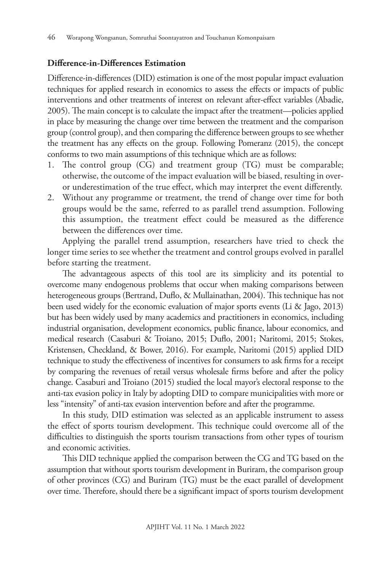### **Difference-in-Differences Estimation**

Difference-in-differences (DID) estimation is one of the most popular impact evaluation techniques for applied research in economics to assess the effects or impacts of public interventions and other treatments of interest on relevant after-effect variables (Abadie, 2005). The main concept is to calculate the impact after the treatment—policies applied in place by measuring the change over time between the treatment and the comparison group (control group), and then comparing the difference between groups to see whether the treatment has any effects on the group. Following Pomeranz (2015), the concept conforms to two main assumptions of this technique which are as follows:

- 1. The control group (CG) and treatment group (TG) must be comparable; otherwise, the outcome of the impact evaluation will be biased, resulting in overor underestimation of the true effect, which may interpret the event differently.
- 2. Without any programme or treatment, the trend of change over time for both groups would be the same, referred to as parallel trend assumption. Following this assumption, the treatment effect could be measured as the difference between the differences over time.

Applying the parallel trend assumption, researchers have tried to check the longer time series to see whether the treatment and control groups evolved in parallel before starting the treatment.

The advantageous aspects of this tool are its simplicity and its potential to overcome many endogenous problems that occur when making comparisons between heterogeneous groups (Bertrand, Duflo, & Mullainathan, 2004). This technique has not been used widely for the economic evaluation of major sports events (Li & Jago, 2013) but has been widely used by many academics and practitioners in economics, including industrial organisation, development economics, public finance, labour economics, and medical research (Casaburi & Troiano, 2015; Duflo, 2001; Naritomi, 2015; Stokes, Kristensen, Checkland, & Bower, 2016). For example, Naritomi (2015) applied DID technique to study the effectiveness of incentives for consumers to ask firms for a receipt by comparing the revenues of retail versus wholesale firms before and after the policy change. Casaburi and Troiano (2015) studied the local mayor's electoral response to the anti-tax evasion policy in Italy by adopting DID to compare municipalities with more or less "intensity" of anti-tax evasion intervention before and after the programme.

In this study, DID estimation was selected as an applicable instrument to assess the effect of sports tourism development. This technique could overcome all of the difficulties to distinguish the sports tourism transactions from other types of tourism and economic activities.

This DID technique applied the comparison between the CG and TG based on the assumption that without sports tourism development in Buriram, the comparison group of other provinces (CG) and Buriram (TG) must be the exact parallel of development over time. Therefore, should there be a significant impact of sports tourism development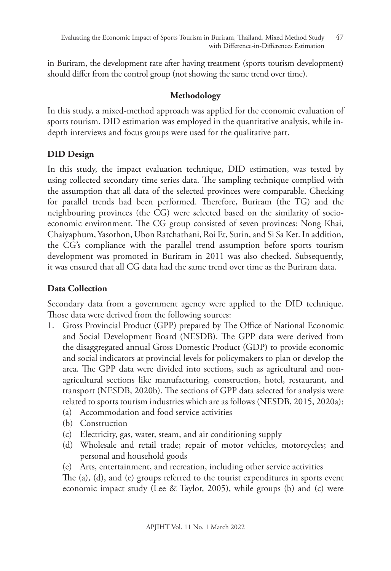in Buriram, the development rate after having treatment (sports tourism development) should differ from the control group (not showing the same trend over time).

## **Methodology**

In this study, a mixed-method approach was applied for the economic evaluation of sports tourism. DID estimation was employed in the quantitative analysis, while indepth interviews and focus groups were used for the qualitative part.

## **DID Design**

In this study, the impact evaluation technique, DID estimation, was tested by using collected secondary time series data. The sampling technique complied with the assumption that all data of the selected provinces were comparable. Checking for parallel trends had been performed. Therefore, Buriram (the TG) and the neighbouring provinces (the CG) were selected based on the similarity of socioeconomic environment. The CG group consisted of seven provinces: Nong Khai, Chaiyaphum, Yasothon, Ubon Ratchathani, Roi Et, Surin, and Si Sa Ket. In addition, the CG's compliance with the parallel trend assumption before sports tourism development was promoted in Buriram in 2011 was also checked. Subsequently, it was ensured that all CG data had the same trend over time as the Buriram data.

## **Data Collection**

Secondary data from a government agency were applied to the DID technique. Those data were derived from the following sources:

- 1. Gross Provincial Product (GPP) prepared by The Office of National Economic and Social Development Board (NESDB). The GPP data were derived from the disaggregated annual Gross Domestic Product (GDP) to provide economic and social indicators at provincial levels for policymakers to plan or develop the area. The GPP data were divided into sections, such as agricultural and nonagricultural sections like manufacturing, construction, hotel, restaurant, and transport (NESDB, 2020b). The sections of GPP data selected for analysis were related to sports tourism industries which are as follows (NESDB, 2015, 2020a):
	- (a) Accommodation and food service activities
	- (b) Construction
	- (c) Electricity, gas, water, steam, and air conditioning supply
	- (d) Wholesale and retail trade; repair of motor vehicles, motorcycles; and personal and household goods
	- (e) Arts, entertainment, and recreation, including other service activities

The (a), (d), and (e) groups referred to the tourist expenditures in sports event economic impact study (Lee & Taylor, 2005), while groups (b) and (c) were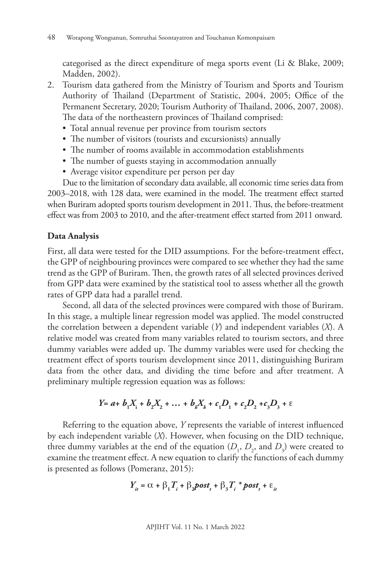categorised as the direct expenditure of mega sports event (Li & Blake, 2009; Madden, 2002).

- 2. Tourism data gathered from the Ministry of Tourism and Sports and Tourism Authority of Thailand (Department of Statistic, 2004, 2005; Office of the Permanent Secretary, 2020; Tourism Authority of Thailand, 2006, 2007, 2008). The data of the northeastern provinces of Thailand comprised:
	- Total annual revenue per province from tourism sectors
	- The number of visitors (tourists and excursionists) annually
	- The number of rooms available in accommodation establishments
	- The number of guests staying in accommodation annually
	- Average visitor expenditure per person per day

Due to the limitation of secondary data available, all economic time series data from 2003–2018, with 128 data, were examined in the model. The treatment effect started when Buriram adopted sports tourism development in 2011. Thus, the before-treatment effect was from 2003 to 2010, and the after-treatment effect started from 2011 onward.

### **Data Analysis**

First, all data were tested for the DID assumptions. For the before-treatment effect, the GPP of neighbouring provinces were compared to see whether they had the same trend as the GPP of Buriram. Then, the growth rates of all selected provinces derived from GPP data were examined by the statistical tool to assess whether all the growth rates of GPP data had a parallel trend.

Second, all data of the selected provinces were compared with those of Buriram. In this stage, a multiple linear regression model was applied. The model constructed the correlation between a dependent variable (*Y*) and independent variables (*X*). A relative model was created from many variables related to tourism sectors, and three dummy variables were added up. The dummy variables were used for checking the treatment effect of sports tourism development since 2011, distinguishing Buriram data from the other data, and dividing the time before and after treatment. A preliminary multiple regression equation was as follows:

$$
Y = a + b_1 X_1 + b_2 X_2 + \dots + b_k X_k + c_1 D_1 + c_2 D_2 + c_3 D_3 + \varepsilon
$$

Referring to the equation above, *Y* represents the variable of interest influenced by each independent variable (*X*). However, when focusing on the DID technique, three dummy variables at the end of the equation  $(D_1, D_2, \text{ and } D_3)$  were created to examine the treatment effect. A new equation to clarify the functions of each dummy is presented as follows (Pomeranz, 2015):

$$
Y_{it} = \alpha + \beta_1 T_i + \beta_2 \text{post}_t + \beta_3 T_i \cdot \text{post}_t + \varepsilon_{it}
$$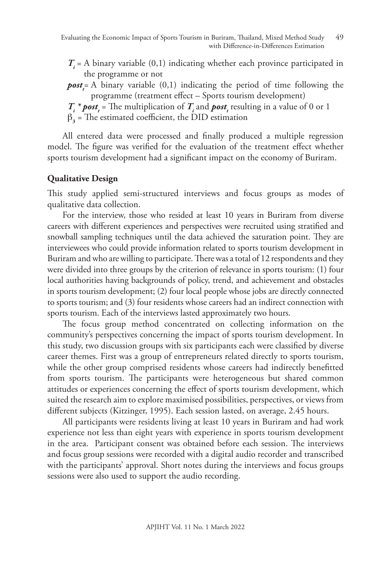- *T<sub>i</sub>* = A binary variable (0,1) indicating whether each province participated in the programme or not
- *postt* = A binary variable (0,1) indicating the period of time following the programme (treatment effect – Sports tourism development)
- $T_i^*$  **post**<sub>*i*</sub> = The multiplication of  $T_i$  and **post**<sub>*i*</sub> resulting in a value of 0 or 1
- $\beta_3$  = The estimated coefficient, the DID estimation

All entered data were processed and finally produced a multiple regression model. The figure was verified for the evaluation of the treatment effect whether sports tourism development had a significant impact on the economy of Buriram.

## **Qualitative Design**

This study applied semi-structured interviews and focus groups as modes of qualitative data collection.

For the interview, those who resided at least 10 years in Buriram from diverse careers with different experiences and perspectives were recruited using stratified and snowball sampling techniques until the data achieved the saturation point. They are interviewees who could provide information related to sports tourism development in Buriram and who are willing to participate. There was a total of 12 respondents and they were divided into three groups by the criterion of relevance in sports tourism: (1) four local authorities having backgrounds of policy, trend, and achievement and obstacles in sports tourism development; (2) four local people whose jobs are directly connected to sports tourism; and (3) four residents whose careers had an indirect connection with sports tourism. Each of the interviews lasted approximately two hours.

The focus group method concentrated on collecting information on the community's perspectives concerning the impact of sports tourism development. In this study, two discussion groups with six participants each were classified by diverse career themes. First was a group of entrepreneurs related directly to sports tourism, while the other group comprised residents whose careers had indirectly benefitted from sports tourism. The participants were heterogeneous but shared common attitudes or experiences concerning the effect of sports tourism development, which suited the research aim to explore maximised possibilities, perspectives, or views from different subjects (Kitzinger, 1995). Each session lasted, on average, 2.45 hours.

All participants were residents living at least 10 years in Buriram and had work experience not less than eight years with experience in sports tourism development in the area. Participant consent was obtained before each session. The interviews and focus group sessions were recorded with a digital audio recorder and transcribed with the participants' approval. Short notes during the interviews and focus groups sessions were also used to support the audio recording.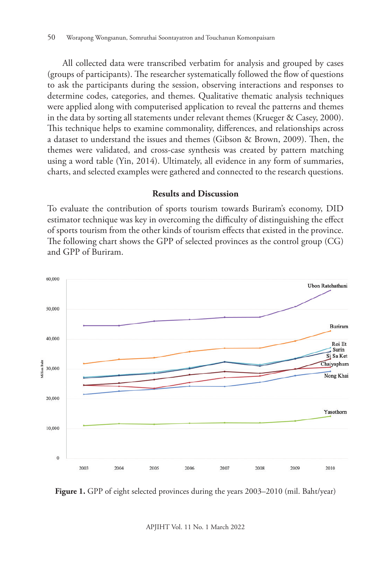All collected data were transcribed verbatim for analysis and grouped by cases (groups of participants). The researcher systematically followed the flow of questions to ask the participants during the session, observing interactions and responses to determine codes, categories, and themes. Qualitative thematic analysis techniques were applied along with computerised application to reveal the patterns and themes in the data by sorting all statements under relevant themes (Krueger & Casey, 2000). This technique helps to examine commonality, differences, and relationships across a dataset to understand the issues and themes (Gibson & Brown, 2009). Then, the themes were validated, and cross-case synthesis was created by pattern matching using a word table (Yin, 2014). Ultimately, all evidence in any form of summaries, charts, and selected examples were gathered and connected to the research questions.

#### **Results and Discussion**

To evaluate the contribution of sports tourism towards Buriram's economy, DID estimator technique was key in overcoming the difficulty of distinguishing the effect of sports tourism from the other kinds of tourism effects that existed in the province. The following chart shows the GPP of selected provinces as the control group (CG) and GPP of Buriram.





APJIHT Vol. 11 No. 1 March 2022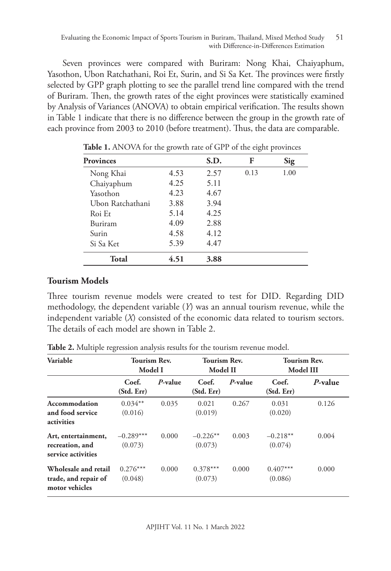Seven provinces were compared with Buriram: Nong Khai, Chaiyaphum, Yasothon, Ubon Ratchathani, Roi Et, Surin, and Si Sa Ket. The provinces were firstly selected by GPP graph plotting to see the parallel trend line compared with the trend of Buriram. Then, the growth rates of the eight provinces were statistically examined by Analysis of Variances (ANOVA) to obtain empirical verification. The results shown in Table 1 indicate that there is no difference between the group in the growth rate of each province from 2003 to 2010 (before treatment). Thus, the data are comparable.

| <b>Provinces</b> |      | S.D. | F    | Sig  |
|------------------|------|------|------|------|
| Nong Khai        | 4.53 | 2.57 | 0.13 | 1.00 |
| Chaiyaphum       | 4.25 | 5.11 |      |      |
| Yasothon         | 4.23 | 4.67 |      |      |
| Ubon Ratchathani | 3.88 | 3.94 |      |      |
| Roi Et           | 5.14 | 4.25 |      |      |
| Buriram          | 4.09 | 2.88 |      |      |
| Surin            | 4.58 | 4.12 |      |      |
| Si Sa Ket        | 5.39 | 4.47 |      |      |
| Total            | 4.51 | 3.88 |      |      |

**Table 1.** ANOVA for the growth rate of GPP of the eight provinces

### **Tourism Models**

Three tourism revenue models were created to test for DID. Regarding DID methodology, the dependent variable (*Y*) was an annual tourism revenue, while the independent variable (*X*) consisted of the economic data related to tourism sectors. The details of each model are shown in Table 2.

| Variable                                                       | Tourism Rev.<br>Model I |            | <b>Tourism Rev.</b><br>Model II |            | <b>Tourism Rev.</b><br>Model III |         |
|----------------------------------------------------------------|-------------------------|------------|---------------------------------|------------|----------------------------------|---------|
|                                                                | Coef.<br>(Std. Err)     | $P$ -value | Coef.<br>(Std. Err)             | $P$ -value | Coef.<br>(Std. Err)              | P-value |
| Accommodation<br>and food service<br>activities                | $0.034**$<br>(0.016)    | 0.035      | 0.021<br>(0.019)                | 0.267      | 0.031<br>(0.020)                 | 0.126   |
| Art, entertainment,<br>recreation, and<br>service activities   | $-0.289***$<br>(0.073)  | 0.000      | $-0.226**$<br>(0.073)           | 0.003      | $-0.218**$<br>(0.074)            | 0.004   |
| Wholesale and retail<br>trade, and repair of<br>motor vehicles | $0.276***$<br>(0.048)   | 0.000      | $0.378***$<br>(0.073)           | 0.000      | $0.407***$<br>(0.086)            | 0.000   |

**Table 2.** Multiple regression analysis results for the tourism revenue model.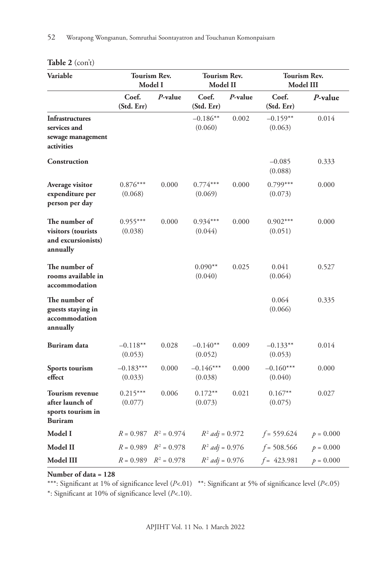| Variable                                                                         | <b>Tourism Rev.</b><br><b>Tourism Rev.</b><br>Model I<br>Model II |               |                        | <b>Tourism Rev.</b><br><b>Model III</b> |                        |             |
|----------------------------------------------------------------------------------|-------------------------------------------------------------------|---------------|------------------------|-----------------------------------------|------------------------|-------------|
|                                                                                  | Coef.<br>(Std. Err)                                               | P-value       | Coef.<br>(Std. Err)    | P-value                                 | Coef.<br>(Std. Err)    | P-value     |
| <b>Infrastructures</b><br>services and<br>sewage management<br>activities        |                                                                   |               | $-0.186**$<br>(0.060)  | 0.002                                   | $-0.159**$<br>(0.063)  | 0.014       |
| <b>Construction</b>                                                              |                                                                   |               |                        |                                         | $-0.085$<br>(0.088)    | 0.333       |
| Average visitor<br>expenditure per<br>person per day                             | $0.876***$<br>(0.068)                                             | 0.000         | $0.774***$<br>(0.069)  | 0.000                                   | $0.799***$<br>(0.073)  | 0.000       |
| The number of<br>visitors (tourists<br>and excursionists)<br>annually            | $0.955***$<br>(0.038)                                             | 0.000         | $0.934***$<br>(0.044)  | 0.000                                   | $0.902***$<br>(0.051)  | 0.000       |
| The number of<br>rooms available in<br>accommodation                             |                                                                   |               | $0.090**$<br>(0.040)   | 0.025                                   | 0.041<br>(0.064)       | 0.527       |
| The number of<br>guests staying in<br>accommodation<br>annually                  |                                                                   |               |                        |                                         | 0.064<br>(0.066)       | 0.335       |
| Buriram data                                                                     | $-0.118**$<br>(0.053)                                             | 0.028         | $-0.140**$<br>(0.052)  | 0.009                                   | $-0.133**$<br>(0.053)  | 0.014       |
| Sports tourism<br>effect                                                         | $-0.183***$<br>(0.033)                                            | 0.000         | $-0.146***$<br>(0.038) | 0.000                                   | $-0.160***$<br>(0.040) | 0.000       |
| <b>Tourism revenue</b><br>after launch of<br>sports tourism in<br><b>Buriram</b> | $0.215***$<br>(0.077)                                             | 0.006         | $0.172**$<br>(0.073)   | 0.021                                   | $0.167**$<br>(0.075)   | 0.027       |
| Model I                                                                          | $R = 0.987$                                                       | $R^2 = 0.974$ | $R^2$ adj = 0.972      |                                         | $f = 559.624$          | $p = 0.000$ |
| Model II                                                                         | $R = 0.989$                                                       | $R^2 = 0.978$ | $R^2$ adj = 0.976      |                                         | $f = 508.566$          | $p = 0.000$ |
| Model III                                                                        | $R = 0.989$                                                       | $R^2 = 0.978$ | $R^2$ adj = 0.976      |                                         | $f = 423.981$          | $p = 0.000$ |

### **Table 2** (con't)

**Number of data = 128**

\*\*\*: Significant at 1% of significance level (*P*<.01) \*\*: Significant at 5% of significance level (*P*<.05) \*: Significant at 10% of significance level (*P*<.10).

APJIHT Vol. 11 No. 1 March 2022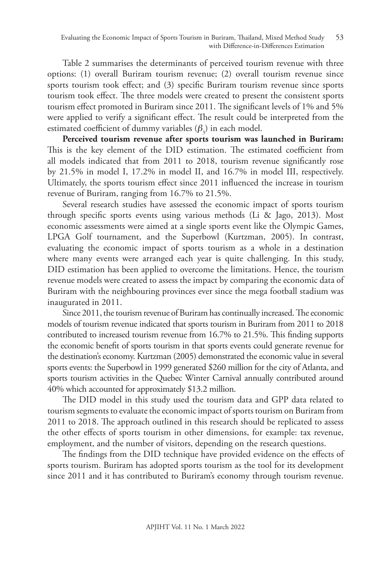Table 2 summarises the determinants of perceived tourism revenue with three options: (1) overall Buriram tourism revenue; (2) overall tourism revenue since sports tourism took effect; and (3) specific Buriram tourism revenue since sports tourism took effect. The three models were created to present the consistent sports tourism effect promoted in Buriram since 2011. The significant levels of 1% and 5% were applied to verify a significant effect. The result could be interpreted from the estimated coefficient of dummy variables  $(\beta_3)$  in each model.

**Perceived tourism revenue after sports tourism was launched in Buriram:** This is the key element of the DID estimation. The estimated coefficient from all models indicated that from 2011 to 2018, tourism revenue significantly rose by 21.5% in model I, 17.2% in model II, and 16.7% in model III, respectively. Ultimately, the sports tourism effect since 2011 influenced the increase in tourism revenue of Buriram, ranging from 16.7% to 21.5%.

Several research studies have assessed the economic impact of sports tourism through specific sports events using various methods (Li & Jago, 2013). Most economic assessments were aimed at a single sports event like the Olympic Games, LPGA Golf tournament, and the Superbowl (Kurtzman, 2005). In contrast, evaluating the economic impact of sports tourism as a whole in a destination where many events were arranged each year is quite challenging. In this study, DID estimation has been applied to overcome the limitations. Hence, the tourism revenue models were created to assess the impact by comparing the economic data of Buriram with the neighbouring provinces ever since the mega football stadium was inaugurated in 2011.

Since 2011, the tourism revenue of Buriram has continually increased. The economic models of tourism revenue indicated that sports tourism in Buriram from 2011 to 2018 contributed to increased tourism revenue from 16.7% to 21.5%. This finding supports the economic benefit of sports tourism in that sports events could generate revenue for the destination's economy. Kurtzman (2005) demonstrated the economic value in several sports events: the Superbowl in 1999 generated \$260 million for the city of Atlanta, and sports tourism activities in the Quebec Winter Carnival annually contributed around 40% which accounted for approximately \$13.2 million.

The DID model in this study used the tourism data and GPP data related to tourism segments to evaluate the economic impact of sports tourism on Buriram from 2011 to 2018. The approach outlined in this research should be replicated to assess the other effects of sports tourism in other dimensions, for example: tax revenue, employment, and the number of visitors, depending on the research questions.

The findings from the DID technique have provided evidence on the effects of sports tourism. Buriram has adopted sports tourism as the tool for its development since 2011 and it has contributed to Buriram's economy through tourism revenue.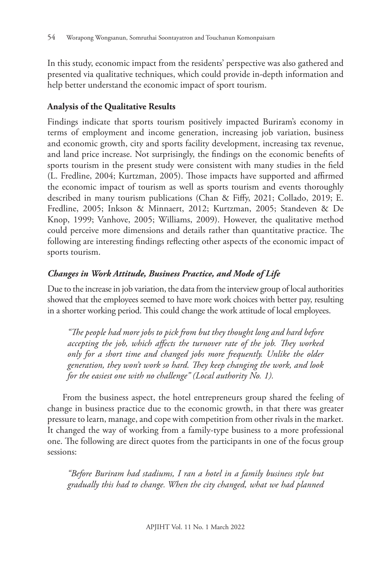In this study, economic impact from the residents' perspective was also gathered and presented via qualitative techniques, which could provide in-depth information and help better understand the economic impact of sport tourism.

### **Analysis of the Qualitative Results**

Findings indicate that sports tourism positively impacted Buriram's economy in terms of employment and income generation, increasing job variation, business and economic growth, city and sports facility development, increasing tax revenue, and land price increase. Not surprisingly, the findings on the economic benefits of sports tourism in the present study were consistent with many studies in the field (L. Fredline, 2004; Kurtzman, 2005). Those impacts have supported and affirmed the economic impact of tourism as well as sports tourism and events thoroughly described in many tourism publications (Chan & Fiffy, 2021; Collado, 2019; E. Fredline, 2005; Inkson & Minnaert, 2012; Kurtzman, 2005; Standeven & De Knop, 1999; Vanhove, 2005; Williams, 2009). However, the qualitative method could perceive more dimensions and details rather than quantitative practice. The following are interesting findings reflecting other aspects of the economic impact of sports tourism.

## *Changes in Work Attitude, Business Practice, and Mode of Life*

Due to the increase in job variation, the data from the interview group of local authorities showed that the employees seemed to have more work choices with better pay, resulting in a shorter working period. This could change the work attitude of local employees.

*"The people had more jobs to pick from but they thought long and hard before accepting the job, which affects the turnover rate of the job. They worked only for a short time and changed jobs more frequently. Unlike the older generation, they won't work so hard. They keep changing the work, and look for the easiest one with no challenge" (Local authority No. 1).*

From the business aspect, the hotel entrepreneurs group shared the feeling of change in business practice due to the economic growth, in that there was greater pressure to learn, manage, and cope with competition from other rivals in the market. It changed the way of working from a family-type business to a more professional one. The following are direct quotes from the participants in one of the focus group sessions:

*"Before Buriram had stadiums, I ran a hotel in a family business style but gradually this had to change. When the city changed, what we had planned*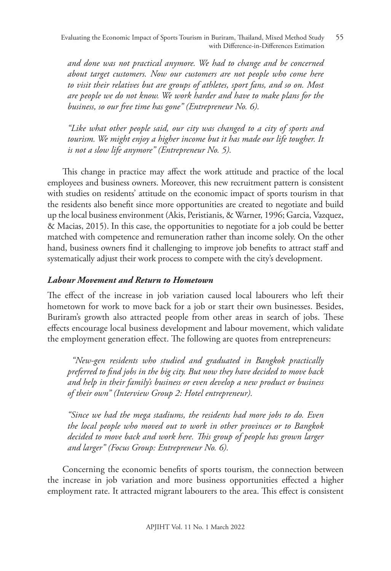Evaluating the Economic Impact of Sports Tourism in Buriram, Thailand, Mixed Method Study with Difference-in-Differences Estimation 55

*and done was not practical anymore. We had to change and be concerned about target customers. Now our customers are not people who come here to visit their relatives but are groups of athletes, sport fans, and so on. Most are people we do not know. We work harder and have to make plans for the business, so our free time has gone" (Entrepreneur No. 6).*

*"Like what other people said, our city was changed to a city of sports and tourism. We might enjoy a higher income but it has made our life tougher. It is not a slow life anymore" (Entrepreneur No. 5).* 

This change in practice may affect the work attitude and practice of the local employees and business owners. Moreover, this new recruitment pattern is consistent with studies on residents' attitude on the economic impact of sports tourism in that the residents also benefit since more opportunities are created to negotiate and build up the local business environment (Akis, Peristianis, & Warner, 1996; Garcia, Vazquez, & Macias, 2015). In this case, the opportunities to negotiate for a job could be better matched with competence and remuneration rather than income solely. On the other hand, business owners find it challenging to improve job benefits to attract staff and systematically adjust their work process to compete with the city's development.

### *Labour Movement and Return to Hometown*

The effect of the increase in job variation caused local labourers who left their hometown for work to move back for a job or start their own businesses. Besides, Buriram's growth also attracted people from other areas in search of jobs. These effects encourage local business development and labour movement, which validate the employment generation effect. The following are quotes from entrepreneurs:

 *"New-gen residents who studied and graduated in Bangkok practically preferred to find jobs in the big city. But now they have decided to move back and help in their family's business or even develop a new product or business of their own" (Interview Group 2: Hotel entrepreneur).*

*"Since we had the mega stadiums, the residents had more jobs to do. Even the local people who moved out to work in other provinces or to Bangkok decided to move back and work here. This group of people has grown larger and larger" (Focus Group: Entrepreneur No. 6).* 

Concerning the economic benefits of sports tourism, the connection between the increase in job variation and more business opportunities effected a higher employment rate. It attracted migrant labourers to the area. This effect is consistent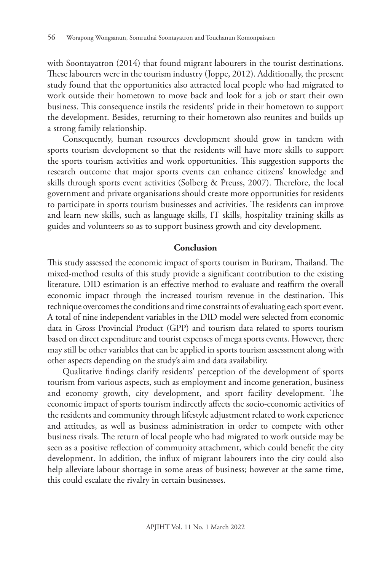with Soontayatron (2014) that found migrant labourers in the tourist destinations. These labourers were in the tourism industry (Joppe, 2012). Additionally, the present study found that the opportunities also attracted local people who had migrated to work outside their hometown to move back and look for a job or start their own business. This consequence instils the residents' pride in their hometown to support the development. Besides, returning to their hometown also reunites and builds up a strong family relationship.

Consequently, human resources development should grow in tandem with sports tourism development so that the residents will have more skills to support the sports tourism activities and work opportunities. This suggestion supports the research outcome that major sports events can enhance citizens' knowledge and skills through sports event activities (Solberg & Preuss, 2007). Therefore, the local government and private organisations should create more opportunities for residents to participate in sports tourism businesses and activities. The residents can improve and learn new skills, such as language skills, IT skills, hospitality training skills as guides and volunteers so as to support business growth and city development.

#### **Conclusion**

This study assessed the economic impact of sports tourism in Buriram, Thailand. The mixed-method results of this study provide a significant contribution to the existing literature. DID estimation is an effective method to evaluate and reaffirm the overall economic impact through the increased tourism revenue in the destination. This technique overcomes the conditions and time constraints of evaluating each sport event. A total of nine independent variables in the DID model were selected from economic data in Gross Provincial Product (GPP) and tourism data related to sports tourism based on direct expenditure and tourist expenses of mega sports events. However, there may still be other variables that can be applied in sports tourism assessment along with other aspects depending on the study's aim and data availability.

Qualitative findings clarify residents' perception of the development of sports tourism from various aspects, such as employment and income generation, business and economy growth, city development, and sport facility development. The economic impact of sports tourism indirectly affects the socio-economic activities of the residents and community through lifestyle adjustment related to work experience and attitudes, as well as business administration in order to compete with other business rivals. The return of local people who had migrated to work outside may be seen as a positive reflection of community attachment, which could benefit the city development. In addition, the influx of migrant labourers into the city could also help alleviate labour shortage in some areas of business; however at the same time, this could escalate the rivalry in certain businesses.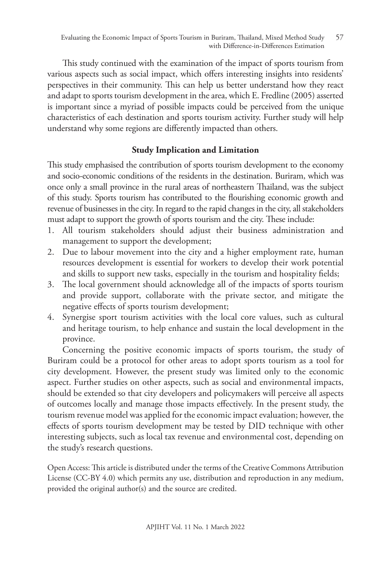This study continued with the examination of the impact of sports tourism from various aspects such as social impact, which offers interesting insights into residents' perspectives in their community. This can help us better understand how they react and adapt to sports tourism development in the area, which E. Fredline (2005) asserted is important since a myriad of possible impacts could be perceived from the unique characteristics of each destination and sports tourism activity. Further study will help understand why some regions are differently impacted than others.

## **Study Implication and Limitation**

This study emphasised the contribution of sports tourism development to the economy and socio-economic conditions of the residents in the destination. Buriram, which was once only a small province in the rural areas of northeastern Thailand, was the subject of this study. Sports tourism has contributed to the flourishing economic growth and revenue of businesses in the city. In regard to the rapid changes in the city, all stakeholders must adapt to support the growth of sports tourism and the city. These include:

- 1. All tourism stakeholders should adjust their business administration and management to support the development;
- 2. Due to labour movement into the city and a higher employment rate, human resources development is essential for workers to develop their work potential and skills to support new tasks, especially in the tourism and hospitality fields;
- 3. The local government should acknowledge all of the impacts of sports tourism and provide support, collaborate with the private sector, and mitigate the negative effects of sports tourism development;
- 4. Synergise sport tourism activities with the local core values, such as cultural and heritage tourism, to help enhance and sustain the local development in the province.

Concerning the positive economic impacts of sports tourism, the study of Buriram could be a protocol for other areas to adopt sports tourism as a tool for city development. However, the present study was limited only to the economic aspect. Further studies on other aspects, such as social and environmental impacts, should be extended so that city developers and policymakers will perceive all aspects of outcomes locally and manage those impacts effectively. In the present study, the tourism revenue model was applied for the economic impact evaluation; however, the effects of sports tourism development may be tested by DID technique with other interesting subjects, such as local tax revenue and environmental cost, depending on the study's research questions.

Open Access: This article is distributed under the terms of the Creative Commons Attribution License (CC-BY 4.0) which permits any use, distribution and reproduction in any medium, provided the original author(s) and the source are credited.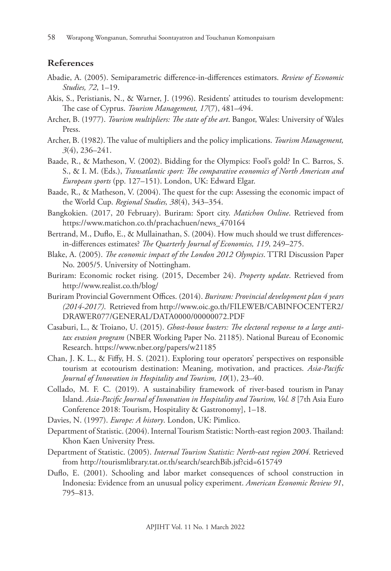#### **References**

- Abadie, A. (2005). Semiparametric difference-in-differences estimators. *Review of Economic Studies, 72*, 1–19.
- Akis, S., Peristianis, N., & Warner, J. (1996). Residents' attitudes to tourism development: The case of Cyprus. *Tourism Management, 17*(7), 481–494.
- Archer, B. (1977). *Tourism multipliers: The state of the art*. Bangor, Wales: University of Wales Press.
- Archer, B. (1982). The value of multipliers and the policy implications. *Tourism Management, 3*(4), 236–241.
- Baade, R., & Matheson, V. (2002). Bidding for the Olympics: Fool's gold? In C. Barros, S. S., & I. M. (Eds.), *Transatlantic sport: The comparative economics of North American and European sports* (pp. 127–151). London, UK: Edward Elgar.
- Baade, R., & Matheson, V. (2004). The quest for the cup: Assessing the economic impact of the World Cup. *Regional Studies, 38*(4), 343–354.
- Bangkokien. (2017, 20 February). Buriram: Sport city. *Matichon Online*. Retrieved from https://www.matichon.co.th/prachachuen/news\_470164
- Bertrand, M., Duflo, E., & Mullainathan, S. (2004). How much should we trust differencesin-differences estimates? *The Quarterly Journal of Economics, 119*, 249–275.
- Blake, A. (2005). *The economic impact of the London 2012 Olympics*. TTRI Discussion Paper No. 2005/5. University of Nottingham.
- Buriram: Economic rocket rising. (2015, December 24). *Property update*. Retrieved from http://www.realist.co.th/blog/
- Buriram Provincial Government Offices. (2014). *Buriram: Provincial development plan 4 years (2014-2017)*. Retrieved from http://www.oic.go.th/FILEWEB/CABINFOCENTER2/ DRAWER077/GENERAL/DATA0000/00000072.PDF
- Casaburi, L., & Troiano, U. (2015). *Ghost-house busters: The electoral response to a large antitax evasion program* (NBER Working Paper No. 21185). National Bureau of Economic Research. https://www.nber.org/papers/w21185
- Chan, J. K. L., & Fiffy, H. S. (2021). Exploring tour operators' perspectives on responsible tourism at ecotourism destination: Meaning, motivation, and practices. *Asia-Pacific Journal of Innovation in Hospitality and Tourism, 10*(1), 23–40.
- Collado, M. F. C. (2019). A sustainability framework of river-based tourism in Panay Island. *Asia-Pacific Journal of Innovation in Hospitality and Tourism, Vol. 8* [7th Asia Euro Conference 2018: Tourism, Hospitality & Gastronomy], 1–18.
- Davies, N. (1997). *Europe: A history*. London, UK: Pimlico.
- Department of Statistic. (2004). Internal Tourism Statistic: North-east region 2003. Thailand: Khon Kaen University Press.
- Department of Statistic. (2005). *Internal Tourism Statistic: North-east region 2004.* Retrieved from http://tourismlibrary.tat.or.th/search/searchBib.jsf?cid=615749
- Duflo, E. (2001). Schooling and labor market consequences of school construction in Indonesia: Evidence from an unusual policy experiment. *American Economic Review 91*, 795–813.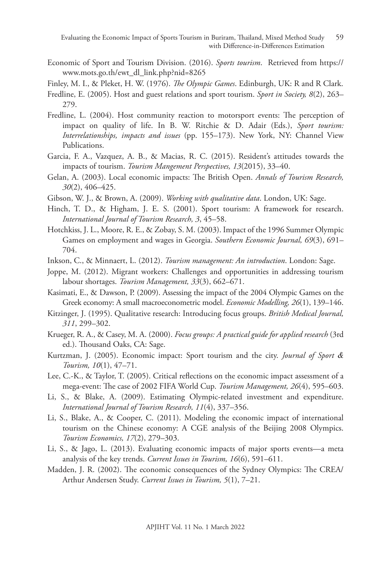- Economic of Sport and Tourism Division. (2016). *Sports tourism*. Retrieved from https:// www.mots.go.th/ewt\_dl\_link.php?nid=8265
- Finley, M. I., & Pleket, H. W. (1976). *The Olympic Games*. Edinburgh, UK: R and R Clark.
- Fredline, E. (2005). Host and guest relations and sport tourism. *Sport in Society, 8*(2), 263– 279.
- Fredline, L. (2004). Host community reaction to motorsport events: The perception of impact on quality of life. In B. W. Ritchie & D. Adair (Eds.), *Sport tourism: Interrelationships, impacts and issues* (pp. 155–173). New York, NY: Channel View Publications.
- Garcia, F. A., Vazquez, A. B., & Macias, R. C. (2015). Resident's attitudes towards the impacts of tourism. *Tourism Mangement Perspectives, 13*(2015), 33–40.
- Gelan, A. (2003). Local economic impacts: The British Open. *Annals of Tourism Research, 30*(2), 406–425.
- Gibson, W. J., & Brown, A. (2009). *Working with qualitative data*. London, UK: Sage.
- Hinch, T. D., & Higham, J. E. S. (2001). Sport tourism: A framework for research. *International Journal of Tourism Research, 3*, 45–58.
- Hotchkiss, J. L., Moore, R. E., & Zobay, S. M. (2003). Impact of the 1996 Summer Olympic Games on employment and wages in Georgia. *Southern Economic Journal, 69*(3), 691– 704.
- Inkson, C., & Minnaert, L. (2012). *Tourism management: An introduction*. London: Sage.
- Joppe, M. (2012). Migrant workers: Challenges and opportunities in addressing tourism labour shortages. *Tourism Management, 33*(3), 662–671.
- Kasimati, E., & Dawson, P. (2009). Assessing the impact of the 2004 Olympic Games on the Greek economy: A small macroeconometric model. *Economic Modelling, 26*(1), 139–146.
- Kitzinger, J. (1995). Qualitative research: Introducing focus groups. *British Medical Journal, 311*, 299–302.
- Krueger, R. A., & Casey, M. A. (2000). *Focus groups: A practical guide for applied research* (3rd ed.). Thousand Oaks, CA: Sage.
- Kurtzman, J. (2005). Economic impact: Sport tourism and the city. *Journal of Sport & Tourism, 10*(1), 47–71.
- Lee, C.-K., & Taylor, T. (2005). Critical reflections on the economic impact assessment of a mega-event: The case of 2002 FIFA World Cup. *Tourism Management, 26*(4), 595–603.
- Li, S., & Blake, A. (2009). Estimating Olympic-related investment and expenditure. *International Journal of Tourism Research, 11*(4), 337–356.
- Li, S., Blake, A., & Cooper, C. (2011). Modeling the economic impact of international tourism on the Chinese economy: A CGE analysis of the Beijing 2008 Olympics. *Tourism Economics, 17*(2), 279–303.
- Li, S., & Jago, L. (2013). Evaluating economic impacts of major sports events—a meta analysis of the key trends. *Current Issues in Tourism, 16*(6), 591–611.
- Madden, J. R. (2002). The economic consequences of the Sydney Olympics: The CREA/ Arthur Andersen Study. *Current Issues in Tourism, 5*(1), 7–21.